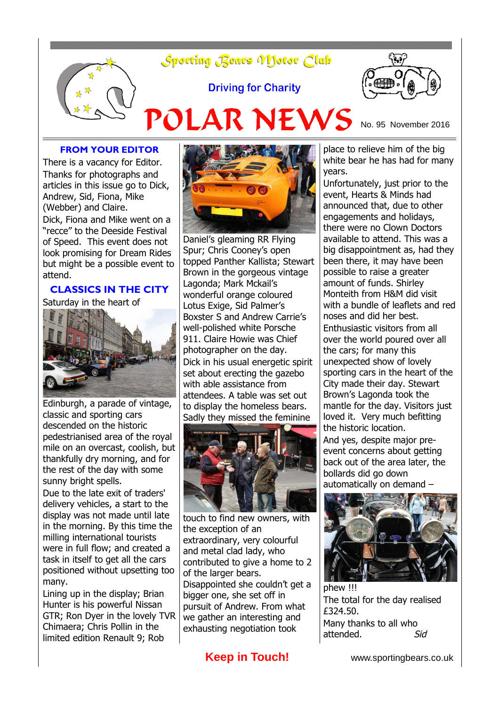# Sporting Rears Myotor Club

**Driving for Charity** 



# POLAR NEWS

No. 95 November 2016

#### **FROM YOUR EDITOR**

There is a vacancy for Editor. Thanks for photographs and articles in this issue go to Dick, Andrew, Sid, Fiona, Mike (Webber) and Claire.

Dick, Fiona and Mike went on a "recce" to the Deeside Festival of Speed. This event does not look promising for Dream Rides but might be a possible event to attend.

## **CLASSICS IN THE CITY**

Saturday in the heart of



Edinburgh, a parade of vintage, classic and sporting cars descended on the historic pedestrianised area of the royal mile on an overcast, coolish, but thankfully dry morning, and for the rest of the day with some sunny bright spells.

Due to the late exit of traders' delivery vehicles, a start to the display was not made until late in the morning. By this time the milling international tourists were in full flow; and created a task in itself to get all the cars positioned without upsetting too many.

Lining up in the display; Brian Hunter is his powerful Nissan GTR; Ron Dyer in the lovely TVR Chimaera; Chris Pollin in the limited edition Renault 9; Rob



Daniel's gleaming RR Flying Spur; Chris Cooney's open topped Panther Kallista; Stewart Brown in the gorgeous vintage Lagonda; Mark Mckail's wonderful orange coloured Lotus Exige, Sid Palmer's Boxster S and Andrew Carrie's well-polished white Porsche 911. Claire Howie was Chief photographer on the day. Dick in his usual energetic spirit set about erecting the gazebo with able assistance from attendees. A table was set out to display the homeless bears. Sadly they missed the feminine



touch to find new owners, with the exception of an extraordinary, very colourful and metal clad lady, who contributed to give a home to 2 of the larger bears. Disappointed she couldn't get a bigger one, she set off in pursuit of Andrew. From what we gather an interesting and exhausting negotiation took

place to relieve him of the big white bear he has had for many years.

Unfortunately, just prior to the event, Hearts & Minds had announced that, due to other engagements and holidays, there were no Clown Doctors available to attend. This was a big disappointment as, had they been there, it may have been possible to raise a greater amount of funds. Shirley Monteith from H&M did visit with a bundle of leaflets and red noses and did her best. Enthusiastic visitors from all over the world poured over all the cars; for many this unexpected show of lovely sporting cars in the heart of the City made their day. Stewart Brown's Lagonda took the mantle for the day. Visitors just loved it. Very much befitting the historic location. And yes, despite major pre-

event concerns about getting back out of the area later, the bollards did go down automatically on demand –



phew !!! The total for the day realised £324.50. Many thanks to all who attended. Sid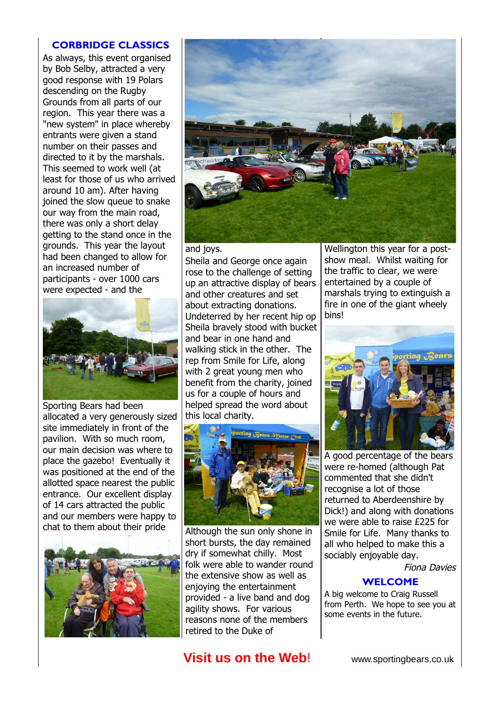#### **CORBRIDGE CLASSICS**

As always, this event organised by Bob Selby, attracted a very good response with 19 Polars descending on the Rugby Grounds from all parts of our region. This year there was a "new system" in place whereby entrants were given a stand number on their passes and directed to it by the marshals. This seemed to work well (at least for those of us who arrived around 10 am). After having joined the slow queue to snake our way from the main road, there was only a short delay getting to the stand once in the grounds. This year the layout had been changed to allow for an increased number of participants - over 1000 cars were expected - and the



Sporting Bears had been allocated a very generously sized site immediately in front of the pavilion. With so much room, our main decision was where to place the gazebo! Eventually it was positioned at the end of the allotted space nearest the public entrance. Our excellent display of 14 cars attracted the public and our members were happy to chat to them about their pride





and joys.

Sheila and George once again rose to the challenge of setting up an attractive display of bears and other creatures and set about extracting donations. Undeterred by her recent hip op Sheila bravely stood with bucket and bear in one hand and walking stick in the other. The rep from Smile for Life, along with 2 great young men who benefit from the charity, joined us for a couple of hours and helped spread the word about this local charity.



Although the sun only shone in short bursts, the day remained dry if somewhat chilly. Most folk were able to wander round the extensive show as well as enjoying the entertainment provided - a live band and dog agility shows. For various reasons none of the members retired to the Duke of

Wellington this year for a postshow meal. Whilst waiting for the traffic to clear, we were entertained by a couple of marshals trying to extinguish a fire in one of the giant wheely bins!



A good percentage of the bears were re-homed (although Pat commented that she didn't recognise a lot of those returned to Aberdeenshire by Dick!) and along with donations we were able to raise £225 for Smile for Life. Many thanks to all who helped to make this a sociably enjoyable day.

Fiona Davies

## **WELCOME**

A big welcome to Craig Russell from Perth. We hope to see you at some events in the future.

# **Visit us on the Web!** www.sportingbears.co.uk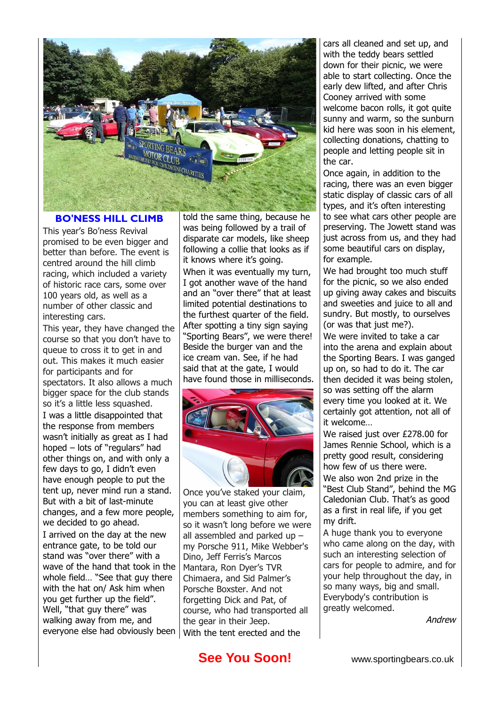

#### **BO'NESS HILL CLIMB**

This year's Bo'ness Revival promised to be even bigger and better than before. The event is centred around the hill climb racing, which included a variety of historic race cars, some over 100 years old, as well as a number of other classic and interesting cars.

This year, they have changed the course so that you don't have to queue to cross it to get in and out. This makes it much easier for participants and for spectators. It also allows a much bigger space for the club stands so it's a little less squashed. I was a little disappointed that the response from members wasn't initially as great as I had hoped – lots of "regulars" had other things on, and with only a few days to go, I didn't even have enough people to put the tent up, never mind run a stand. But with a bit of last-minute changes, and a few more people, we decided to go ahead.

I arrived on the day at the new entrance gate, to be told our stand was "over there" with a wave of the hand that took in the whole field… "See that guy there with the hat on/ Ask him when you get further up the field". Well, "that guy there" was walking away from me, and everyone else had obviously been

told the same thing, because he was being followed by a trail of disparate car models, like sheep following a collie that looks as if it knows where it's going. When it was eventually my turn, I got another wave of the hand and an "over there" that at least limited potential destinations to the furthest quarter of the field. After spotting a tiny sign saying "Sporting Bears", we were there! Beside the burger van and the ice cream van. See, if he had said that at the gate, I would have found those in milliseconds.



Once you've staked your claim, you can at least give other members something to aim for, so it wasn't long before we were all assembled and parked up – my Porsche 911, Mike Webber's Dino, Jeff Ferris's Marcos Mantara, Ron Dyer's TVR Chimaera, and Sid Palmer's Porsche Boxster. And not forgetting Dick and Pat, of course, who had transported all the gear in their Jeep. With the tent erected and the

cars all cleaned and set up, and with the teddy bears settled down for their picnic, we were able to start collecting. Once the early dew lifted, and after Chris Cooney arrived with some welcome bacon rolls, it got quite sunny and warm, so the sunburn kid here was soon in his element, collecting donations, chatting to people and letting people sit in the car.

Once again, in addition to the racing, there was an even bigger static display of classic cars of all types, and it's often interesting to see what cars other people are preserving. The Jowett stand was just across from us, and they had some beautiful cars on display, for example.

We had brought too much stuff for the picnic, so we also ended up giving away cakes and biscuits and sweeties and juice to all and sundry. But mostly, to ourselves (or was that just me?).

We were invited to take a car into the arena and explain about the Sporting Bears. I was ganged up on, so had to do it. The car then decided it was being stolen, so was setting off the alarm every time you looked at it. We certainly got attention, not all of it welcome…

We raised just over £278.00 for James Rennie School, which is a pretty good result, considering how few of us there were. We also won 2nd prize in the "Best Club Stand", behind the MG Caledonian Club. That's as good as a first in real life, if you get my drift.

A huge thank you to everyone who came along on the day, with such an interesting selection of cars for people to admire, and for your help throughout the day, in so many ways, big and small. Everybody's contribution is greatly welcomed.

Andrew

# **See You Soon!** www.sportingbears.co.uk